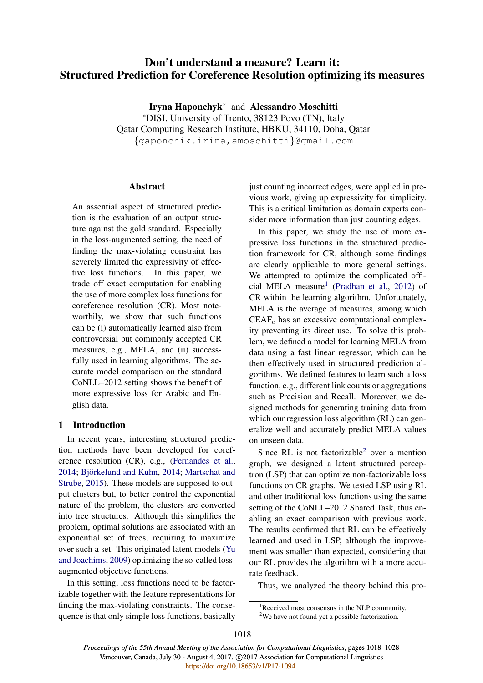# Don't understand a measure? Learn it: Structured Prediction for Coreference Resolution optimizing its measures

Iryna Haponchyk<sup>∗</sup> and Alessandro Moschitti <sup>∗</sup>DISI, University of Trento, 38123 Povo (TN), Italy Qatar Computing Research Institute, HBKU, 34110, Doha, Qatar {gaponchik.irina,amoschitti}@gmail.com

## **Abstract**

An assential aspect of structured prediction is the evaluation of an output structure against the gold standard. Especially in the loss-augmented setting, the need of finding the max-violating constraint has severely limited the expressivity of effective loss functions. In this paper, we trade off exact computation for enabling the use of more complex loss functions for coreference resolution (CR). Most noteworthily, we show that such functions can be (i) automatically learned also from controversial but commonly accepted CR measures, e.g., MELA, and (ii) successfully used in learning algorithms. The accurate model comparison on the standard CoNLL–2012 setting shows the benefit of more expressive loss for Arabic and English data.

## 1 Introduction

In recent years, interesting structured prediction methods have been developed for coreference resolution (CR), e.g., (Fernandes et al., 2014; Björkelund and Kuhn, 2014; Martschat and Strube, 2015). These models are supposed to output clusters but, to better control the exponential nature of the problem, the clusters are converted into tree structures. Although this simplifies the problem, optimal solutions are associated with an exponential set of trees, requiring to maximize over such a set. This originated latent models (Yu and Joachims, 2009) optimizing the so-called lossaugmented objective functions.

In this setting, loss functions need to be factorizable together with the feature representations for finding the max-violating constraints. The consequence is that only simple loss functions, basically just counting incorrect edges, were applied in previous work, giving up expressivity for simplicity. This is a critical limitation as domain experts consider more information than just counting edges.

In this paper, we study the use of more expressive loss functions in the structured prediction framework for CR, although some findings are clearly applicable to more general settings. We attempted to optimize the complicated official MELA measure<sup>1</sup> (Pradhan et al., 2012) of CR within the learning algorithm. Unfortunately, MELA is the average of measures, among which  $CEAF<sub>e</sub>$  has an excessive computational complexity preventing its direct use. To solve this problem, we defined a model for learning MELA from data using a fast linear regressor, which can be then effectively used in structured prediction algorithms. We defined features to learn such a loss function, e.g., different link counts or aggregations such as Precision and Recall. Moreover, we designed methods for generating training data from which our regression loss algorithm (RL) can generalize well and accurately predict MELA values on unseen data.

Since RL is not factorizable<sup>2</sup> over a mention graph, we designed a latent structured perceptron (LSP) that can optimize non-factorizable loss functions on CR graphs. We tested LSP using RL and other traditional loss functions using the same setting of the CoNLL–2012 Shared Task, thus enabling an exact comparison with previous work. The results confirmed that RL can be effectively learned and used in LSP, although the improvement was smaller than expected, considering that our RL provides the algorithm with a more accurate feedback.

Thus, we analyzed the theory behind this pro-

<sup>&</sup>lt;sup>1</sup>Received most consensus in the NLP community.

<sup>&</sup>lt;sup>2</sup>We have not found yet a possible factorization.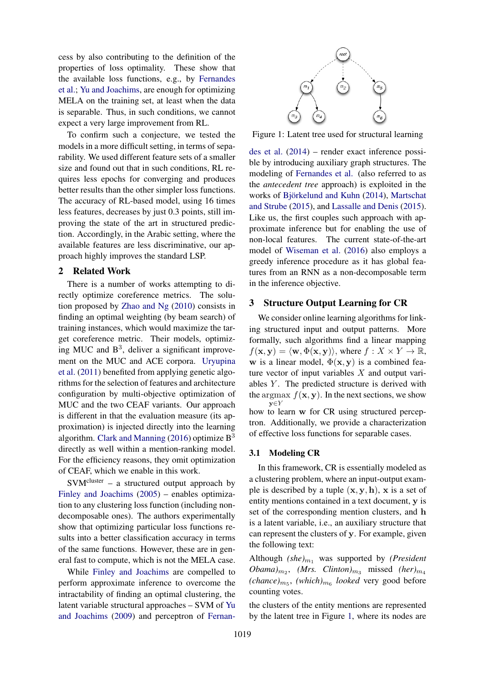cess by also contributing to the definition of the properties of loss optimality. These show that the available loss functions, e.g., by Fernandes et al.; Yu and Joachims, are enough for optimizing MELA on the training set, at least when the data is separable. Thus, in such conditions, we cannot expect a very large improvement from RL.

To confirm such a conjecture, we tested the models in a more difficult setting, in terms of separability. We used different feature sets of a smaller size and found out that in such conditions, RL requires less epochs for converging and produces better results than the other simpler loss functions. The accuracy of RL-based model, using 16 times less features, decreases by just 0.3 points, still improving the state of the art in structured prediction. Accordingly, in the Arabic setting, where the available features are less discriminative, our approach highly improves the standard LSP.

## 2 Related Work

There is a number of works attempting to directly optimize coreference metrics. The solution proposed by Zhao and Ng (2010) consists in finding an optimal weighting (by beam search) of training instances, which would maximize the target coreference metric. Their models, optimizing MUC and  $B<sup>3</sup>$ , deliver a significant improvement on the MUC and ACE corpora. Uryupina et al. (2011) benefited from applying genetic algorithms for the selection of features and architecture configuration by multi-objective optimization of MUC and the two CEAF variants. Our approach is different in that the evaluation measure (its approximation) is injected directly into the learning algorithm. Clark and Manning (2016) optimize  $B<sup>3</sup>$ directly as well within a mention-ranking model. For the efficiency reasons, they omit optimization of CEAF, which we enable in this work.

 $SVM<sup>cluster</sup> - a structured output approach by$ Finley and Joachims (2005) – enables optimization to any clustering loss function (including nondecomposable ones). The authors experimentally show that optimizing particular loss functions results into a better classification accuracy in terms of the same functions. However, these are in general fast to compute, which is not the MELA case.

While Finley and Joachims are compelled to perform approximate inference to overcome the intractability of finding an optimal clustering, the latent variable structural approaches – SVM of Yu and Joachims (2009) and perceptron of Fernan-



Figure 1: Latent tree used for structural learning

des et al. (2014) – render exact inference possible by introducing auxiliary graph structures. The modeling of Fernandes et al. (also referred to as the *antecedent tree* approach) is exploited in the works of Björkelund and Kuhn (2014), Martschat and Strube (2015), and Lassalle and Denis (2015). Like us, the first couples such approach with approximate inference but for enabling the use of non-local features. The current state-of-the-art model of Wiseman et al. (2016) also employs a greedy inference procedure as it has global features from an RNN as a non-decomposable term in the inference objective.

## 3 Structure Output Learning for CR

We consider online learning algorithms for linking structured input and output patterns. More formally, such algorithms find a linear mapping  $f(\mathbf{x}, \mathbf{y}) = \langle \mathbf{w}, \Phi(\mathbf{x}, \mathbf{y}) \rangle$ , where  $f : X \times Y \to \mathbb{R}$ , w is a linear model,  $\Phi(\mathbf{x}, \mathbf{y})$  is a combined feature vector of input variables  $X$  and output variables  $Y$ . The predicted structure is derived with the argmax  $f(\mathbf{x}, \mathbf{y})$ . In the next sections, we show y∈Y how to learn w for CR using structured perceptron. Additionally, we provide a characterization

of effective loss functions for separable cases.

#### 3.1 Modeling CR

In this framework, CR is essentially modeled as a clustering problem, where an input-output example is described by a tuple  $(x, y, h)$ , x is a set of entity mentions contained in a text document, y is set of the corresponding mention clusters, and h is a latent variable, i.e., an auxiliary structure that can represent the clusters of y. For example, given the following text:

Although  $(she)_{m_1}$  was supported by *(President*  $Obama)_{m_2}$ , *(Mrs. Clinton)*<sub>m<sub>3</sub></sub> missed *(her)*<sub>m<sub>4</sub></sub>  $(chance)_{m_5}$ ,  $(which)_{m_6}$  *looked* very good before counting votes.

the clusters of the entity mentions are represented by the latent tree in Figure 1, where its nodes are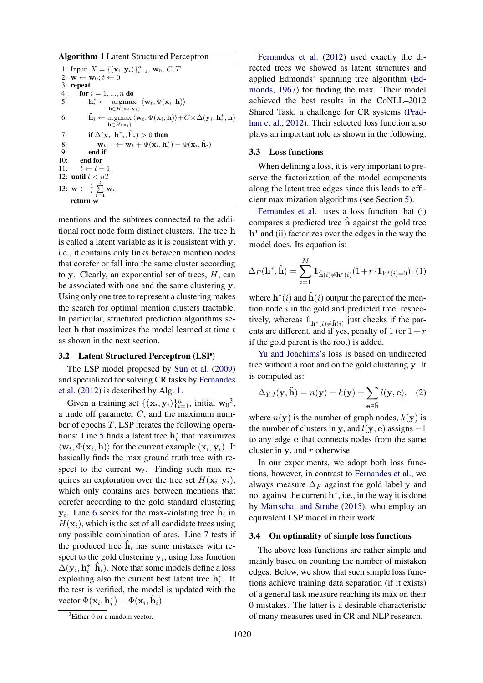Algorithm 1 Latent Structured Perceptron

```
1: Input: X = \{(\mathbf{x}_i, \mathbf{y}_i)\}_{i=1}^n, \mathbf{w}_0, C, T2: \mathbf{w} \leftarrow \mathbf{w}_0; t \leftarrow 03: repeat<br>4: for ifor i = 1, ..., n do
  5: h
                               \mathbf{r}_i^* \leftarrow \operatorname*{argmax}_{\mathbf{w}_t, \mathbf{w}_t, \mathbf{w}_t, \mathbf{w}_t, \mathbf{h})} \langle \mathbf{w}_t, \mathbf{w}_t, \mathbf{w}_t \rangle\bar{\mathbf{h}} \in \bar{H}(\mathbf{x}_i, \mathbf{y}_i)6: \hat{\mathbf{h}}_i \leftarrow \operatorname*{argmax}_{\mathbf{h} \in H(\mathbf{x}_i)} \langle \mathbf{w}_t, \Phi(\mathbf{x}_i, \mathbf{h}) \rangle + C \times \Delta(\mathbf{y}_i, \mathbf{h}_i^*, \mathbf{h})h\in H(\mathbf{x}_i)7: if \Delta (\mathbf{y}_i,\mathbf{h}^*{}_{i}, \mathbf{\hat{h}}_{i}) > 0 then
   8: \mathbf{w}_{t+1} \leftarrow \mathbf{w}_t + \Phi(\mathbf{x}_i, \mathbf{h}_i^*) - \Phi(\mathbf{x}_i, \hat{\mathbf{h}}_i)9: end if<br>10: end for
                   end for
11: t \leftarrow t + 112: until t < nT13: \mathbf{w} \leftarrow \frac{1}{t} \sum_{i=1}^{t}\sum\limits_{i=1} \mathbf{w}_ireturn w
```
mentions and the subtrees connected to the additional root node form distinct clusters. The tree h is called a latent variable as it is consistent with y, i.e., it contains only links between mention nodes that corefer or fall into the same cluster according to y. Clearly, an exponential set of trees,  $H$ , can be associated with one and the same clustering y. Using only one tree to represent a clustering makes the search for optimal mention clusters tractable. In particular, structured prediction algorithms select  $h$  that maximizes the model learned at time  $t$ as shown in the next section.

#### 3.2 Latent Structured Perceptron (LSP)

The LSP model proposed by Sun et al. (2009) and specialized for solving CR tasks by Fernandes et al. (2012) is described by Alg. 1.

Given a training set  $\{(\mathbf{x}_i, \mathbf{y}_i)\}_{i=1}^n$ , initial  $\mathbf{w}_0^3$ , a trade off parameter C, and the maximum number of epochs  $T$ , LSP iterates the following operations: Line 5 finds a latent tree  $\mathbf{h}_i^*$  that maximizes  $\langle \mathbf{w}_t, \Phi(\mathbf{x}_i, \mathbf{h}) \rangle$  for the current example  $(\mathbf{x}_i, \mathbf{y}_i)$ . It basically finds the max ground truth tree with respect to the current  $w_t$ . Finding such max requires an exploration over the tree set  $H(\mathbf{x}_i, \mathbf{y}_i)$ , which only contains arcs between mentions that corefer according to the gold standard clustering  $y_i$ . Line 6 seeks for the max-violating tree  $\hat{h}_i$  in  $H(\mathbf{x}_i)$ , which is the set of all candidate trees using any possible combination of arcs. Line 7 tests if the produced tree  $\hat{\mathbf{h}}_i$  has some mistakes with respect to the gold clustering  $y_i$ , using loss function  $\Delta(\mathbf{y}_i, \mathbf{h}^*_i, \hat{\mathbf{h}}_i)$ . Note that some models define a loss exploiting also the current best latent tree  $h_i^*$ . If the test is verified, the model is updated with the vector  $\Phi(\mathbf{x}_i, \mathbf{h}^*_i) - \Phi(\mathbf{x}_i, \hat{\mathbf{h}}_i)$ .

Fernandes et al. (2012) used exactly the directed trees we showed as latent structures and applied Edmonds' spanning tree algorithm (Edmonds, 1967) for finding the max. Their model achieved the best results in the CoNLL–2012 Shared Task, a challenge for CR systems (Pradhan et al., 2012). Their selected loss function also plays an important role as shown in the following.

#### 3.3 Loss functions

When defining a loss, it is very important to preserve the factorization of the model components along the latent tree edges since this leads to efficient maximization algorithms (see Section 5).

Fernandes et al. uses a loss function that (i) compares a predicted tree  $\hat{h}$  against the gold tree h<sup>\*</sup> and (ii) factorizes over the edges in the way the model does. Its equation is:

$$
\Delta_F(\mathbf{h}^*, \hat{\mathbf{h}}) = \sum_{i=1}^M \mathbb{1}_{\hat{\mathbf{h}}(i) \neq \mathbf{h}^*(i)} (1 + r \cdot \mathbb{1}_{\mathbf{h}^*(i) = 0}), (1)
$$

where  $\mathbf{h}^*(i)$  and  $\hat{\mathbf{h}}(i)$  output the parent of the mention node  $i$  in the gold and predicted tree, respectively, whereas  $\mathbb{1}_{\mathbf{h}^*(i) \neq \hat{\mathbf{h}}(i)}$  just checks if the parents are different, and if yes, penalty of 1 (or  $1 + r$ if the gold parent is the root) is added.

Yu and Joachims's loss is based on undirected tree without a root and on the gold clustering y. It is computed as:

$$
\Delta_{YJ}(\mathbf{y}, \hat{\mathbf{h}}) = n(\mathbf{y}) - k(\mathbf{y}) + \sum_{\mathbf{e} \in \hat{\mathbf{h}}} l(\mathbf{y}, \mathbf{e}), \quad (2)
$$

where  $n(\mathbf{y})$  is the number of graph nodes,  $k(\mathbf{y})$  is the number of clusters in y, and  $l(y, e)$  assigns  $-1$ to any edge e that connects nodes from the same cluster in  $v$ , and  $r$  otherwise.

In our experiments, we adopt both loss functions, however, in contrast to Fernandes et al., we always measure  $\Delta_F$  against the gold label y and not against the current  $h^*$ , i.e., in the way it is done by Martschat and Strube (2015), who employ an equivalent LSP model in their work.

### 3.4 On optimality of simple loss functions

The above loss functions are rather simple and mainly based on counting the number of mistaken edges. Below, we show that such simple loss functions achieve training data separation (if it exists) of a general task measure reaching its max on their 0 mistakes. The latter is a desirable characteristic of many measures used in CR and NLP research.

 ${}^{3}$ Either 0 or a random vector.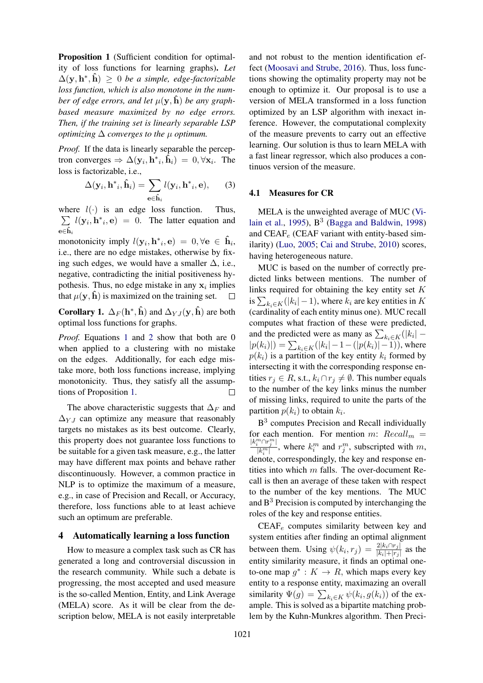Proposition 1 (Sufficient condition for optimality of loss functions for learning graphs). *Let*  $\Delta(\mathbf{y}, \mathbf{h}^*, \hat{\mathbf{h}}) \geq 0$  *be a simple, edge-factorizable loss function, which is also monotone in the number of edge errors, and let*  $\mu(\mathbf{y}, \hat{\mathbf{h}})$  *be any graphbased measure maximized by no edge errors. Then, if the training set is linearly separable LSP optimizing*  $\Delta$  *converges to the*  $\mu$  *optimum.* 

*Proof.* If the data is linearly separable the perceptron converges  $\Rightarrow \Delta(\mathbf{y}_i, \mathbf{h}^*_{i}, \tilde{\mathbf{h}}_i) = 0, \forall \mathbf{x}_i$ . The loss is factorizable, i.e.,

$$
\Delta(\mathbf{y}_i, \mathbf{h}^*_{i}, \hat{\mathbf{h}}_i) = \sum_{\mathbf{e} \in \hat{\mathbf{h}}_i} l(\mathbf{y}_i, \mathbf{h}^*_{i}, \mathbf{e}), \qquad (3)
$$

where  $l(\cdot)$  is an edge loss function. Thus,  $\sum l(\mathbf{y}_i, \mathbf{h}^*, \mathbf{e}) = 0$ . The latter equation and  $e \in \hat{h}$ 

monotonicity imply  $l(\mathbf{y}_i, \mathbf{h}^*_{i}, \mathbf{e}) = 0, \forall \mathbf{e} \in \hat{\mathbf{h}}_i$ i.e., there are no edge mistakes, otherwise by fixing such edges, we would have a smaller  $\Delta$ , i.e., negative, contradicting the initial positiveness hypothesis. Thus, no edge mistake in any  $x_i$  implies that  $\mu(\mathbf{y}, \hat{\mathbf{h}})$  is maximized on the training set.  $\Box$ 

**Corollary 1.**  $\Delta_F(\mathbf{h}^*, \hat{\mathbf{h}})$  and  $\Delta_{YJ}(\mathbf{y}, \hat{\mathbf{h}})$  are both optimal loss functions for graphs.

*Proof.* Equations 1 and 2 show that both are 0 when applied to a clustering with no mistake on the edges. Additionally, for each edge mistake more, both loss functions increase, implying monotonicity. Thus, they satisfy all the assumptions of Proposition 1.  $\Box$ 

The above characteristic suggests that  $\Delta_F$  and  $\Delta_{Y,I}$  can optimize any measure that reasonably targets no mistakes as its best outcome. Clearly, this property does not guarantee loss functions to be suitable for a given task measure, e.g., the latter may have different max points and behave rather discontinuously. However, a common practice in NLP is to optimize the maximum of a measure, e.g., in case of Precision and Recall, or Accuracy, therefore, loss functions able to at least achieve such an optimum are preferable.

## 4 Automatically learning a loss function

How to measure a complex task such as CR has generated a long and controversial discussion in the research community. While such a debate is progressing, the most accepted and used measure is the so-called Mention, Entity, and Link Average (MELA) score. As it will be clear from the description below, MELA is not easily interpretable

and not robust to the mention identification effect (Moosavi and Strube, 2016). Thus, loss functions showing the optimality property may not be enough to optimize it. Our proposal is to use a version of MELA transformed in a loss function optimized by an LSP algorithm with inexact inference. However, the computational complexity of the measure prevents to carry out an effective learning. Our solution is thus to learn MELA with a fast linear regressor, which also produces a continuos version of the measure.

#### 4.1 Measures for CR

MELA is the unweighted average of MUC (Vilain et al., 1995),  $B^3$  (Bagga and Baldwin, 1998) and  $CEAF_e$  (CEAF variant with entity-based similarity) (Luo, 2005; Cai and Strube, 2010) scores, having heterogeneous nature.

MUC is based on the number of correctly predicted links between mentions. The number of links required for obtaining the key entity set  $K$ is  $\sum_{k_i \in K} (|k_i| - 1)$ , where  $k_i$  are key entities in K (cardinality of each entity minus one). MUC recall computes what fraction of these were predicted, and the predicted were as many as  $\sum_{k_i \in K} (|k_i| |p(k_i)|$ ) =  $\sum_{k_i \in K} (|k_i| - 1 - (|p(k_i)| - 1))$ , where  $p(k_i)$  is a partition of the key entity  $k_i$  formed by intersecting it with the corresponding response entities  $r_j \in R$ , s.t.,  $k_i \cap r_j \neq \emptyset$ . This number equals to the number of the key links minus the number of missing links, required to unite the parts of the partition  $p(k_i)$  to obtain  $k_i$ .

B<sup>3</sup> computes Precision and Recall individually for each mention. For mention m:  $Recall_m =$  $\frac{|k_i^m \cap r_j^m|}{|k_i^m|}$ , where  $k_i^m$  and  $r_j^m$ , subscripted with m, denote, correspondingly, the key and response entities into which  $m$  falls. The over-document Recall is then an average of these taken with respect to the number of the key mentions. The MUC and  $B<sup>3</sup>$  Precision is computed by interchanging the roles of the key and response entities.

 $CEAF<sub>e</sub>$  computes similarity between key and system entities after finding an optimal alignment between them. Using  $\psi(k_i, r_j) = \frac{2|k_i \cap r_j|}{|k_i| + |r_j|}$  as the entity similarity measure, it finds an optimal oneto-one map  $g^* : K \to R$ , which maps every key entity to a response entity, maximazing an overall similarity  $\Psi(g) = \sum_{k_i \in K} \psi(k_i, g(k_i))$  of the example. This is solved as a bipartite matching problem by the Kuhn-Munkres algorithm. Then Preci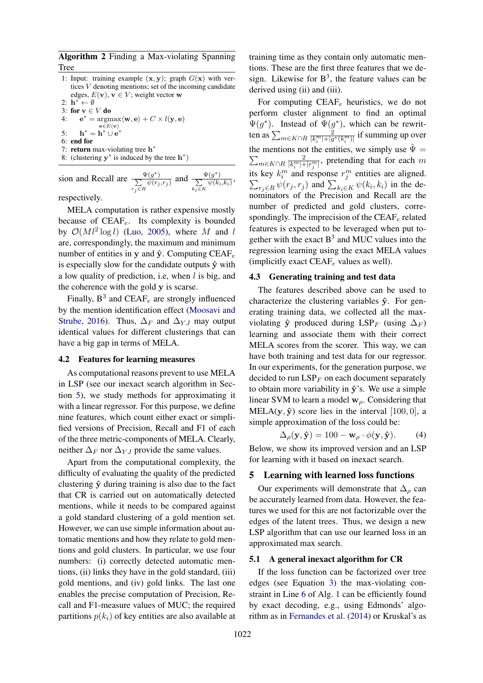Algorithm 2 Finding a Max-violating Spanning Tree

- 1: Input: training example  $(x, y)$ ; graph  $G(x)$  with vertices V denoting mentions; set of the incoming candidate edges,  $E(\mathbf{v})$ ,  $\mathbf{v} \in V$ ; weight vector w
- 2:  $\mathbf{h}^* \leftarrow \emptyset$
- 3: for  $\mathbf{v} \in V$  do<br>4:  $\mathbf{e}^* = \text{arg}\mathbf{v}$ 4:  $\mathbf{e}^* = \operatorname{argmax}_{\mathbf{e} \in E(\mathbf{e})} \langle \mathbf{w}, \mathbf{e} \rangle + C \times l(\mathbf{y}, \mathbf{e})$
- ${\bf e} \in E({\bf v})$
- 5:  $h^* = h^* \cup e^*$
- 6: end for
- 7: return max-violating tree  $h^*$ 8: (clustering  $y^*$  is induced by the tree  $h^*$ )

sion and Recall are  $\frac{\Psi(g^*)}{\sum \psi(r_i)}$  $r_j \in R$  $\frac{\Psi(g^*)}{\psi(r_j,r_j)}$  and  $\frac{\Psi(g^*)}{\sum \psi(k_i)}$  $\frac{(g)}{\psi(k_i,k_i)}$ 

 $k_i \in K$ 

respectively.

MELA computation is rather expensive mostly because of  $CEAF_e$ . Its complexity is bounded by  $\mathcal{O}(Ml^2 \log l)$  (Luo, 2005), where M and l are, correspondingly, the maximum and minimum number of entities in y and  $\hat{y}$ . Computing CEAF<sub>e</sub> is especially slow for the candidate outputs  $\hat{y}$  with a low quality of prediction, i.e, when  $l$  is big, and the coherence with the gold y is scarse.

Finally,  $B^3$  and CEAF<sub>e</sub> are strongly influenced by the mention identification effect (Moosavi and Strube, 2016). Thus,  $\Delta_F$  and  $\Delta_{YJ}$  may output identical values for different clusterings that can have a big gap in terms of MELA.

#### 4.2 Features for learning measures

As computational reasons prevent to use MELA in LSP (see our inexact search algorithm in Section 5), we study methods for approximating it with a linear regressor. For this purpose, we define nine features, which count either exact or simplified versions of Precision, Recall and F1 of each of the three metric-components of MELA. Clearly, neither  $\Delta_F$  nor  $\Delta_{YJ}$  provide the same values.

Apart from the computational complexity, the difficulty of evaluating the quality of the predicted clustering  $\hat{v}$  during training is also due to the fact that CR is carried out on automatically detected mentions, while it needs to be compared against a gold standard clustering of a gold mention set. However, we can use simple information about automatic mentions and how they relate to gold mentions and gold clusters. In particular, we use four numbers: (i) correctly detected automatic mentions, (ii) links they have in the gold standard, (iii) gold mentions, and (iv) gold links. The last one enables the precise computation of Precision, Recall and F1-measure values of MUC; the required partitions  $p(k<sub>i</sub>)$  of key entities are also available at

training time as they contain only automatic mentions. These are the first three features that we design. Likewise for  $B^3$ , the feature values can be derived using (ii) and (iii).

For computing  $CEAF_e$  heuristics, we do not perform cluster alignment to find an optimal  $\Psi(g^*)$ . Instead of  $\Psi(g^*)$ , which can be rewritten as  $\sum_{m \in K \cap R} \frac{2}{|k_i^m|+|g^*(k_i^m)|}$  if summing up over the mentions not the entities, we simply use  $\tilde{\Psi} =$  $\sum_{m \in K \cap R} \frac{2}{|k_i^m|+|r_j^m|}$ , pretending that for each m its key  $k_i^m$  and response  $r_j^m$  entities are aligned.  $\sum_{r_j \in R} \psi(r_j, r_j)$  and  $\sum_{k_i \in K} \psi(k_i, k_i)$  in the denominators of the Precision and Recall are the number of predicted and gold clusters, correspondingly. The imprecision of the  $CEAF_e$  related features is expected to be leveraged when put together with the exact  $B<sup>3</sup>$  and MUC values into the regression learning using the exact MELA values (implicitly exact  $CEAF_e$  values as well).

#### 4.3 Generating training and test data

The features described above can be used to characterize the clustering variables  $\hat{y}$ . For generating training data, we collected all the maxviolating  $\hat{y}$  produced during LSP<sub>F</sub> (using  $\Delta_F$ ) learning and associate them with their correct MELA scores from the scorer. This way, we can have both training and test data for our regressor. In our experiments, for the generation purpose, we decided to run  $LSP<sub>F</sub>$  on each document separately to obtain more variability in  $\hat{y}$ 's. We use a simple linear SVM to learn a model  $w_\rho$ . Considering that MELA(y,  $\hat{y}$ ) score lies in the interval [100, 0], a simple approximation of the loss could be:

$$
\Delta_{\rho}(\mathbf{y}, \hat{\mathbf{y}}) = 100 - \mathbf{w}_{\rho} \cdot \phi(\mathbf{y}, \hat{\mathbf{y}}). \tag{4}
$$

Below, we show its improved version and an LSP for learning with it based on inexact search.

## 5 Learning with learned loss functions

Our experiments will demonstrate that  $\Delta_{\rho}$  can be accurately learned from data. However, the features we used for this are not factorizable over the edges of the latent trees. Thus, we design a new LSP algorithm that can use our learned loss in an approximated max search.

#### 5.1 A general inexact algorithm for CR

If the loss function can be factorized over tree edges (see Equation 3) the max-violating constraint in Line 6 of Alg. 1 can be efficiently found by exact decoding, e.g., using Edmonds' algorithm as in Fernandes et al. (2014) or Kruskal's as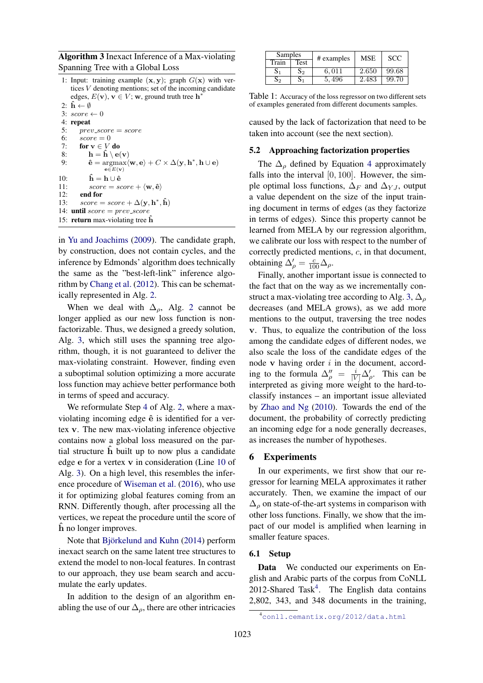Algorithm 3 Inexact Inference of a Max-violating Spanning Tree with a Global Loss

1: Input: training example  $(x, y)$ ; graph  $G(x)$  with vertices V denoting mentions; set of the incoming candidate edges,  $E(\mathbf{v})$ ,  $\mathbf{v} \in V$ ; w, ground truth tree  $\mathbf{h}^*$ 

```
2: \mathbf{h} \leftarrow \emptyset3: score \leftarrow 04: repeat<br>5: \frac{1}{2} \frac{1}{2} \frac{1}{2}5: prev\_score = score<br>6: score = 0score = 07: for \mathbf{v} \in V do<br>8: \mathbf{h} = \hat{\mathbf{h}} \setminus \mathbf{e}8: \mathbf{h} = \mathbf{\hat{h}} \setminus \mathbf{e(v)}<br>9: \mathbf{\hat{e}} = \operatorname{argmax} \langle9: \hat{\mathbf{e}} = \operatorname{argmax}_{\mathbf{e}} \langle \mathbf{w}, \mathbf{e} \rangle + C \times \Delta(\mathbf{y}, \mathbf{h}^*, \mathbf{h} \cup \mathbf{e})e \in E(v)10: \hat{\mathbf{h}} = \mathbf{h} \cup \hat{\mathbf{e}}<br>11: score = sc11: score = score + \langle \mathbf{w}, \hat{\mathbf{e}} \rangle<br>12: end for
12: end for<br>13: score =13: score = score + \Delta(\mathbf{y}, \mathbf{h}^*, \hat{\mathbf{h}})14: until score = prev\_score15: return max-violating tree h
```
in Yu and Joachims (2009). The candidate graph, by construction, does not contain cycles, and the inference by Edmonds' algorithm does technically the same as the "best-left-link" inference algorithm by Chang et al. (2012). This can be schematically represented in Alg. 2.

When we deal with  $\Delta_{\rho}$ , Alg. 2 cannot be longer applied as our new loss function is nonfactorizable. Thus, we designed a greedy solution, Alg. 3, which still uses the spanning tree algorithm, though, it is not guaranteed to deliver the max-violating constraint. However, finding even a suboptimal solution optimizing a more accurate loss function may achieve better performance both in terms of speed and accuracy.

We reformulate Step 4 of Alg. 2, where a maxviolating incoming edge  $\hat{e}$  is identified for a vertex v. The new max-violating inference objective contains now a global loss measured on the partial structure  $\hat{h}$  built up to now plus a candidate edge e for a vertex v in consideration (Line 10 of Alg. 3). On a high level, this resembles the inference procedure of Wiseman et al. (2016), who use it for optimizing global features coming from an RNN. Differently though, after processing all the vertices, we repeat the procedure until the score of h no longer improves.

Note that Björkelund and Kuhn (2014) perform inexact search on the same latent tree structures to extend the model to non-local features. In contrast to our approach, they use beam search and accumulate the early updates.

In addition to the design of an algorithm enabling the use of our  $\Delta_{\rho}$ , there are other intricacies

| Samples |      | # examples | <b>MSE</b> | <b>SCC</b> |  |
|---------|------|------------|------------|------------|--|
| Train   | Test |            |            |            |  |
| 51      | S٥   | 6.011      | 2.650      | 99.68      |  |
| ٥o      |      | 5.496      | 2.483      | 99.70      |  |

Table 1: Accuracy of the loss regressor on two different sets of examples generated from different documents samples.

caused by the lack of factorization that need to be taken into account (see the next section).

#### 5.2 Approaching factorization properties

The  $\Delta_{\rho}$  defined by Equation 4 approximately falls into the interval  $[0, 100]$ . However, the simple optimal loss functions,  $\Delta_F$  and  $\Delta_{YJ}$ , output a value dependent on the size of the input training document in terms of edges (as they factorize in terms of edges). Since this property cannot be learned from MELA by our regression algorithm, we calibrate our loss with respect to the number of correctly predicted mentions, c, in that document, obtaining  $\Delta'_{\rho} = \frac{c}{100} \Delta_{\rho}$ .

Finally, another important issue is connected to the fact that on the way as we incrementally construct a max-violating tree according to Alg. 3,  $\Delta_{\rho}$ decreases (and MELA grows), as we add more mentions to the output, traversing the tree nodes v. Thus, to equalize the contribution of the loss among the candidate edges of different nodes, we also scale the loss of the candidate edges of the node  $v$  having order  $i$  in the document, according to the formula  $\Delta_{\rho}^{\prime\prime} = \frac{i}{|V|} \Delta_{\rho}^{\prime}$ . This can be interpreted as giving more weight to the hard-toclassify instances – an important issue alleviated by Zhao and Ng (2010). Towards the end of the document, the probability of correctly predicting an incoming edge for a node generally decreases, as increases the number of hypotheses.

## 6 Experiments

In our experiments, we first show that our regressor for learning MELA approximates it rather accurately. Then, we examine the impact of our  $\Delta_{\rho}$  on state-of-the-art systems in comparison with other loss functions. Finally, we show that the impact of our model is amplified when learning in smaller feature spaces.

## 6.1 Setup

Data We conducted our experiments on English and Arabic parts of the corpus from CoNLL 2012-Shared Task<sup>4</sup>. The English data contains 2,802, 343, and 348 documents in the training,

<sup>4</sup>conll.cemantix.org/2012/data.html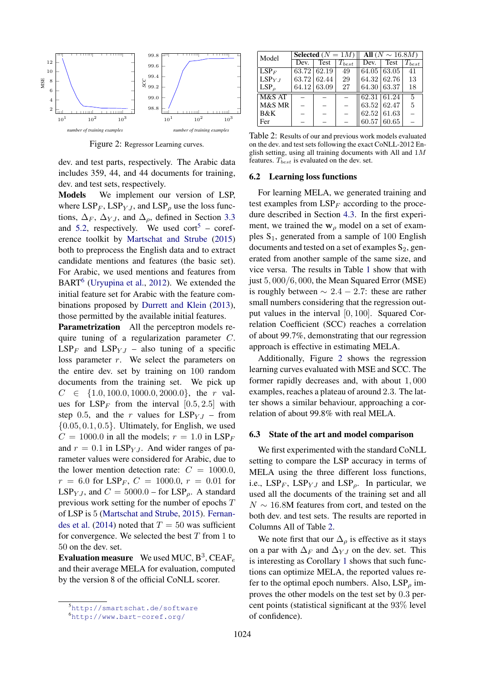

Figure 2: Regressor Learning curves.

dev. and test parts, respectively. The Arabic data includes 359, 44, and 44 documents for training, dev. and test sets, respectively.

Models We implement our version of LSP, where  $LSP<sub>F</sub>$ ,  $LSP<sub>YJ</sub>$ , and  $LSP<sub>\rho</sub>$  use the loss functions,  $\Delta_F$ ,  $\Delta_{Y,I}$ , and  $\Delta_{\rho}$ , defined in Section 3.3 and 5.2, respectively. We used cort<sup>5</sup> – coreference toolkit by Martschat and Strube (2015) both to preprocess the English data and to extract candidate mentions and features (the basic set). For Arabic, we used mentions and features from BART<sup>6</sup> (Uryupina et al., 2012). We extended the initial feature set for Arabic with the feature combinations proposed by Durrett and Klein (2013), those permitted by the available initial features.

Parametrization All the perceptron models require tuning of a regularization parameter C.  $LSP<sub>F</sub>$  and  $LSP<sub>YJ</sub>$  – also tuning of a specific loss parameter r. We select the parameters on the entire dev. set by training on 100 random documents from the training set. We pick up  $C \in \{1.0, 100.0, 1000.0, 2000.0\}$ , the r values for  $LSP_F$  from the interval [0.5, 2.5] with step 0.5, and the r values for  $LSP_{Y,I}$  – from  $\{0.05, 0.1, 0.5\}$ . Ultimately, for English, we used  $C = 1000.0$  in all the models;  $r = 1.0$  in LSP<sub>F</sub> and  $r = 0.1$  in LSP<sub>YJ</sub>. And wider ranges of parameter values were considered for Arabic, due to the lower mention detection rate:  $C = 1000.0$ ,  $r = 6.0$  for LSP<sub>F</sub>,  $C = 1000.0$ ,  $r = 0.01$  for LSP<sub>Y</sub>, and  $C = 5000.0$  – for LSP<sub>o</sub>. A standard previous work setting for the number of epochs T of LSP is 5 (Martschat and Strube, 2015). Fernandes et al. (2014) noted that  $T = 50$  was sufficient for convergence. We selected the best  $T$  from 1 to 50 on the dev. set.

**Evaluation measure** We used MUC,  $B^3$ , CEAF<sub>e</sub> and their average MELA for evaluation, computed by the version 8 of the official CoNLL scorer.

| Model                     | Selected $(N = 1M)$ |                    | All $(N \sim 16.8M)$ |                    |                    |                |
|---------------------------|---------------------|--------------------|----------------------|--------------------|--------------------|----------------|
|                           | Dev.                | Test               | $T_{best}$           | Dev.               | Test               | $T_{best}$     |
| $\overline{\text{LSP}}_F$ |                     | $63.72 \mid 62.19$ | 49                   |                    | $64.05 \mid 63.05$ | 41             |
| $LSP_{Y,I}$               |                     | 63.72 62.44        | 29                   |                    | $64.32\, \,62.76$  | 13             |
| $LSP_{\rho}$              |                     | $64.12\, \,63.09$  | 27                   |                    | $64.30\, \,63.37$  | 18             |
| M&S AT                    |                     |                    |                      | $62.31 \mid 61.24$ |                    | $\overline{5}$ |
| M&S MR                    |                     |                    |                      | 63.52   62.47      |                    | 5              |
| B&K                       |                     |                    |                      |                    | $62.52 \mid 61.63$ |                |
| Fer                       |                     |                    |                      |                    | $60.57 \mid 60.65$ |                |

Table 2: Results of our and previous work models evaluated on the dev. and test sets following the exact CoNLL-2012 English setting, using all training documents with All and  $1M$ features.  $T_{best}$  is evaluated on the dev. set.

#### 6.2 Learning loss functions

For learning MELA, we generated training and test examples from  $LSP<sub>F</sub>$  according to the procedure described in Section 4.3. In the first experiment, we trained the  $w_\rho$  model on a set of examples  $S_1$ , generated from a sample of 100 English documents and tested on a set of examples  $S_2$ , generated from another sample of the same size, and vice versa. The results in Table 1 show that with just 5, 000/6, 000, the Mean Squared Error (MSE) is roughly between  $\sim 2.4 - 2.7$ : these are rather small numbers considering that the regression output values in the interval [0, 100]. Squared Correlation Coefficient (SCC) reaches a correlation of about 99.7%, demonstrating that our regression approach is effective in estimating MELA.

Additionally, Figure 2 shows the regression learning curves evaluated with MSE and SCC. The former rapidly decreases and, with about 1, 000 examples, reaches a plateau of around 2.3. The latter shows a similar behaviour, approaching a correlation of about 99.8% with real MELA.

#### 6.3 State of the art and model comparison

We first experimented with the standard CoNLL setting to compare the LSP accuracy in terms of MELA using the three different loss functions, i.e.,  $LSP<sub>F</sub>$ ,  $LSP<sub>YJ</sub>$  and  $LSP<sub>o</sub>$ . In particular, we used all the documents of the training set and all  $N \sim 16.8M$  features from cort, and tested on the both dev. and test sets. The results are reported in Columns All of Table 2.

We note first that our  $\Delta_{\rho}$  is effective as it stays on a par with  $\Delta_F$  and  $\Delta_{YJ}$  on the dev. set. This is interesting as Corollary 1 shows that such functions can optimize MELA, the reported values refer to the optimal epoch numbers. Also,  $LSP_\rho$  improves the other models on the test set by 0.3 percent points (statistical significant at the 93% level of confidence).

<sup>5</sup>http://smartschat.de/software

<sup>6</sup>http://www.bart-coref.org/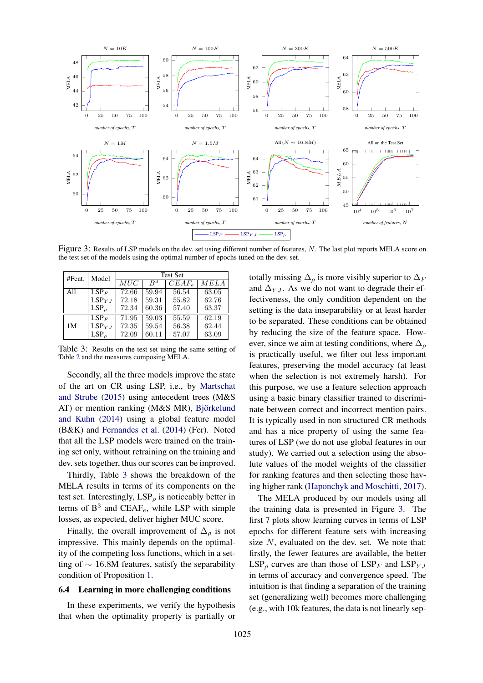

Figure 3: Results of LSP models on the dev. set using different number of features, N. The last plot reports MELA score on the test set of the models using the optimal number of epochs tuned on the dev. set.

| #Feat. | Model          | <b>Test Set</b> |                |          |       |
|--------|----------------|-----------------|----------------|----------|-------|
|        |                | MUC             | $\, {\rm B}^3$ | $CEAF_e$ | MELA  |
| All    | $LSP_F$        | 72.66           | 59.94          | 56.54    | 63.05 |
|        | $LSP_{Y,I}$    | 72.18           | 59.31          | 55.82    | 62.76 |
|        | $LSP_{\alpha}$ | 72.34           | 60.36          | 57.40    | 63.37 |
|        | $LSP_F$        | 71.95           | 59.03          | 55.59    | 62.19 |
| 1M     | $LSP_{Y,I}$    | 72.35           | 59.54          | 56.38    | 62.44 |
|        | $LSP_{\rho}$   | 72.09           | 60.11          | 57.07    | 63.09 |

Table 3: Results on the test set using the same setting of Table 2 and the measures composing MELA.

Secondly, all the three models improve the state of the art on CR using LSP, i.e., by Martschat and Strube (2015) using antecedent trees (M&S AT) or mention ranking (M&S MR), Björkelund and Kuhn (2014) using a global feature model (B&K) and Fernandes et al. (2014) (Fer). Noted that all the LSP models were trained on the training set only, without retraining on the training and dev. sets together, thus our scores can be improved.

Thirdly, Table 3 shows the breakdown of the MELA results in terms of its components on the test set. Interestingly,  $LSP_\rho$  is noticeably better in terms of  $B^3$  and CEAF<sub>e</sub>, while LSP with simple losses, as expected, deliver higher MUC score.

Finally, the overall improvement of  $\Delta_{\rho}$  is not impressive. This mainly depends on the optimality of the competing loss functions, which in a setting of  $\sim$  16.8M features, satisfy the separability condition of Proposition 1.

#### 6.4 Learning in more challenging conditions

In these experiments, we verify the hypothesis that when the optimality property is partially or totally missing  $\Delta_{\rho}$  is more visibly superior to  $\Delta_F$ and  $\Delta_{Y,J}$ . As we do not want to degrade their effectiveness, the only condition dependent on the setting is the data inseparability or at least harder to be separated. These conditions can be obtained by reducing the size of the feature space. However, since we aim at testing conditions, where  $\Delta_{\rho}$ is practically useful, we filter out less important features, preserving the model accuracy (at least when the selection is not extremely harsh). For this purpose, we use a feature selection approach using a basic binary classifier trained to discriminate between correct and incorrect mention pairs. It is typically used in non structured CR methods and has a nice property of using the same features of LSP (we do not use global features in our study). We carried out a selection using the absolute values of the model weights of the classifier for ranking features and then selecting those having higher rank (Haponchyk and Moschitti, 2017).

The MELA produced by our models using all the training data is presented in Figure 3. The first 7 plots show learning curves in terms of LSP epochs for different feature sets with increasing size  $N$ , evaluated on the dev. set. We note that: firstly, the fewer features are available, the better  $LSP_\rho$  curves are than those of  $LSP_F$  and  $LSP_{YJ}$ in terms of accuracy and convergence speed. The intuition is that finding a separation of the training set (generalizing well) becomes more challenging (e.g., with 10k features, the data is not linearly sep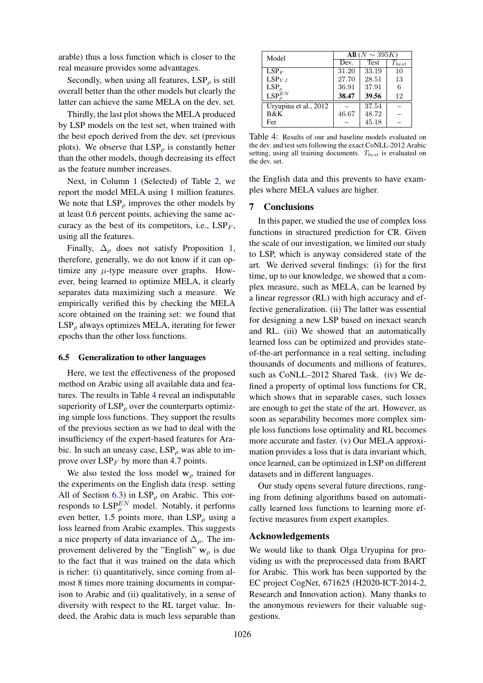arable) thus a loss function which is closer to the real measure provides some advantages.

Secondly, when using all features,  $LSP_\rho$  is still overall better than the other models but clearly the latter can achieve the same MELA on the dev. set.

Thirdly, the last plot shows the MELA produced by LSP models on the test set, when trained with the best epoch derived from the dev. set (previous plots). We observe that  $LSP_\rho$  is constantly better than the other models, though decreasing its effect as the feature number increases.

Next, in Column 1 (Selected) of Table 2, we report the model MELA using 1 million features. We note that  $LSP_\rho$  improves the other models by at least 0.6 percent points, achieving the same accuracy as the best of its competitors, i.e.,  $LSP_F$ , using all the features.

Finally,  $\Delta_{\rho}$  does not satisfy Proposition 1, therefore, generally, we do not know if it can optimize any  $\mu$ -type measure over graphs. However, being learned to optimize MELA, it clearly separates data maximizing such a measure. We empirically verified this by checking the MELA score obtained on the training set: we found that  $LSP_\rho$  always optimizes MELA, iterating for fewer epochs than the other loss functions.

#### 6.5 Generalization to other languages

Here, we test the effectiveness of the proposed method on Arabic using all available data and features. The results in Table 4 reveal an indisputable superiority of  $LSP<sub>o</sub>$  over the counterparts optimizing simple loss functions. They support the results of the previous section as we had to deal with the insufficiency of the expert-based features for Arabic. In such an uneasy case,  $LSP_\rho$  was able to improve over  $LSP<sub>F</sub>$  by more than 4.7 points.

We also tested the loss model  $w_\rho$  trained for the experiments on the English data (resp. setting All of Section 6.3) in  $LSP_\rho$  on Arabic. This corresponds to  $\text{LSP}_{\rho}^{EN}$  model. Notably, it performs even better, 1.5 points more, than  $LSP_\rho$  using a loss learned from Arabic examples. This suggests a nice property of data invariance of  $\Delta_{\rho}$ . The improvement delivered by the "English"  $w<sub>o</sub>$  is due to the fact that it was trained on the data which is richer: (i) quantitatively, since coming from almost 8 times more training documents in comparison to Arabic and (ii) qualitatively, in a sense of diversity with respect to the RL target value. Indeed, the Arabic data is much less separable than

| Model                 | All $(N \sim 395K)$ |             |            |  |
|-----------------------|---------------------|-------------|------------|--|
|                       | Dev.                | <b>Test</b> | $T_{best}$ |  |
| $LSP_F$               | 31.20               | 33.19       | 10         |  |
| $LSP_{Y,I}$           | 27.70               | 28.51       | 13         |  |
| $LSP_{\rho}$          | 36.91               | 37.91       | 6          |  |
| $\text{LSP}^{EN}_a$   | 38.47               | 39.56       | 12         |  |
| Uryupina et al., 2012 |                     | 37.54       |            |  |
| <b>B&amp;K</b>        | 46.67               | 48.72       |            |  |
| Fer                   |                     | 45.18       |            |  |

Table 4: Results of our and baseline models evaluated on the dev. and test sets following the exact CoNLL-2012 Arabic setting, using all training documents.  $T_{best}$  is evaluated on the dev. set.

the English data and this prevents to have examples where MELA values are higher.

## 7 Conclusions

In this paper, we studied the use of complex loss functions in structured prediction for CR. Given the scale of our investigation, we limited our study to LSP, which is anyway considered state of the art. We derived several findings: (i) for the first time, up to our knowledge, we showed that a complex measure, such as MELA, can be learned by a linear regressor (RL) with high accuracy and effective generalization. (ii) The latter was essential for designing a new LSP based on inexact search and RL. (iii) We showed that an automatically learned loss can be optimized and provides stateof-the-art performance in a real setting, including thousands of documents and millions of features, such as CoNLL–2012 Shared Task. (iv) We defined a property of optimal loss functions for CR, which shows that in separable cases, such losses are enough to get the state of the art. However, as soon as separability becomes more complex simple loss functions lose optimality and RL becomes more accurate and faster. (v) Our MELA approximation provides a loss that is data invariant which, once learned, can be optimized in LSP on different datasets and in different languages.

Our study opens several future directions, ranging from defining algorithms based on automatically learned loss functions to learning more effective measures from expert examples.

### Acknowledgements

We would like to thank Olga Uryupina for providing us with the preprocessed data from BART for Arabic. This work has been supported by the EC project CogNet, 671625 (H2020-ICT-2014-2, Research and Innovation action). Many thanks to the anonymous reviewers for their valuable suggestions.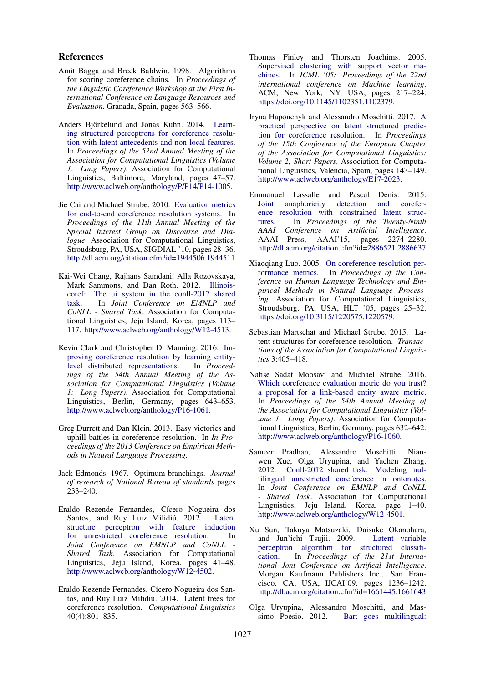#### References

- Amit Bagga and Breck Baldwin. 1998. Algorithms for scoring coreference chains. In *Proceedings of the Linguistic Coreference Workshop at the First International Conference on Language Resources and Evaluation*. Granada, Spain, pages 563–566.
- Anders Björkelund and Jonas Kuhn. 2014. Learning structured perceptrons for coreference resolution with latent antecedents and non-local features. In *Proceedings of the 52nd Annual Meeting of the Association for Computational Linguistics (Volume 1: Long Papers)*. Association for Computational Linguistics, Baltimore, Maryland, pages 47–57. http://www.aclweb.org/anthology/P/P14/P14-1005.
- Jie Cai and Michael Strube. 2010. Evaluation metrics for end-to-end coreference resolution systems. In *Proceedings of the 11th Annual Meeting of the Special Interest Group on Discourse and Dialogue*. Association for Computational Linguistics, Stroudsburg, PA, USA, SIGDIAL '10, pages 28–36. http://dl.acm.org/citation.cfm?id=1944506.1944511.
- Kai-Wei Chang, Rajhans Samdani, Alla Rozovskaya, Mark Sammons, and Dan Roth. 2012. Illinoiscoref: The ui system in the conll-2012 shared task. In *Joint Conference on EMNLP and CoNLL - Shared Task*. Association for Computational Linguistics, Jeju Island, Korea, pages 113– 117. http://www.aclweb.org/anthology/W12-4513.
- Kevin Clark and Christopher D. Manning. 2016. Improving coreference resolution by learning entitylevel distributed representations. In *Proceedings of the 54th Annual Meeting of the Association for Computational Linguistics (Volume 1: Long Papers)*. Association for Computational Linguistics, Berlin, Germany, pages 643–653. http://www.aclweb.org/anthology/P16-1061.
- Greg Durrett and Dan Klein. 2013. Easy victories and uphill battles in coreference resolution. In *In Proceedings of the 2013 Conference on Empirical Methods in Natural Language Processing*.
- Jack Edmonds. 1967. Optimum branchings. *Journal of research of National Bureau of standards* pages 233–240.
- Eraldo Rezende Fernandes, Cícero Nogueira dos Santos, and Ruy Luiz Milidiú. 2012. Latent structure perceptron with feature induction for unrestricted coreference resolution. In *Joint Conference on EMNLP and CoNLL - Shared Task*. Association for Computational Linguistics, Jeju Island, Korea, pages 41–48. http://www.aclweb.org/anthology/W12-4502.
- Eraldo Rezende Fernandes, Cícero Nogueira dos Santos, and Ruy Luiz Milidiú. 2014. Latent trees for coreference resolution. *Computational Linguistics* 40(4):801–835.
- Thomas Finley and Thorsten Joachims. 2005. Supervised clustering with support vector machines. In *ICML '05: Proceedings of the 22nd international conference on Machine learning*. ACM, New York, NY, USA, pages 217–224. https://doi.org/10.1145/1102351.1102379.
- Iryna Haponchyk and Alessandro Moschitti. 2017. A practical perspective on latent structured prediction for coreference resolution. In *Proceedings of the 15th Conference of the European Chapter of the Association for Computational Linguistics: Volume 2, Short Papers*. Association for Computational Linguistics, Valencia, Spain, pages 143–149. http://www.aclweb.org/anthology/E17-2023.
- Emmanuel Lassalle and Pascal Denis. 2015. Joint anaphoricity detection and coreference resolution with constrained latent structures. In *Proceedings of the Twenty-Ninth AAAI Conference on Artificial Intelligence*. AAAI Press, AAAI'15, pages 2274–2280. http://dl.acm.org/citation.cfm?id=2886521.2886637.
- Xiaoqiang Luo. 2005. On coreference resolution performance metrics. In *Proceedings of the Conference on Human Language Technology and Empirical Methods in Natural Language Processing*. Association for Computational Linguistics, Stroudsburg, PA, USA, HLT '05, pages 25–32. https://doi.org/10.3115/1220575.1220579.
- Sebastian Martschat and Michael Strube. 2015. Latent structures for coreference resolution. *Transactions of the Association for Computational Linguistics* 3:405–418.
- Nafise Sadat Moosavi and Michael Strube. 2016. Which coreference evaluation metric do you trust? a proposal for a link-based entity aware metric. In *Proceedings of the 54th Annual Meeting of the Association for Computational Linguistics (Volume 1: Long Papers)*. Association for Computational Linguistics, Berlin, Germany, pages 632–642. http://www.aclweb.org/anthology/P16-1060.
- Sameer Pradhan, Alessandro Moschitti, Nianwen Xue, Olga Uryupina, and Yuchen Zhang. 2012. Conll-2012 shared task: Modeling multilingual unrestricted coreference in ontonotes. In *Joint Conference on EMNLP and CoNLL - Shared Task*. Association for Computational Linguistics, Jeju Island, Korea, page 1–40. http://www.aclweb.org/anthology/W12-4501.
- Xu Sun, Takuya Matsuzaki, Daisuke Okanohara, and Jun'ichi Tsujii. 2009. Latent variable perceptron algorithm for structured classification. In *Proceedings of the 21st International Jont Conference on Artifical Intelligence*. Morgan Kaufmann Publishers Inc., San Francisco, CA, USA, IJCAI'09, pages 1236–1242. http://dl.acm.org/citation.cfm?id=1661445.1661643.
- Olga Uryupina, Alessandro Moschitti, and Massimo Poesio. 2012. Bart goes multilingual: